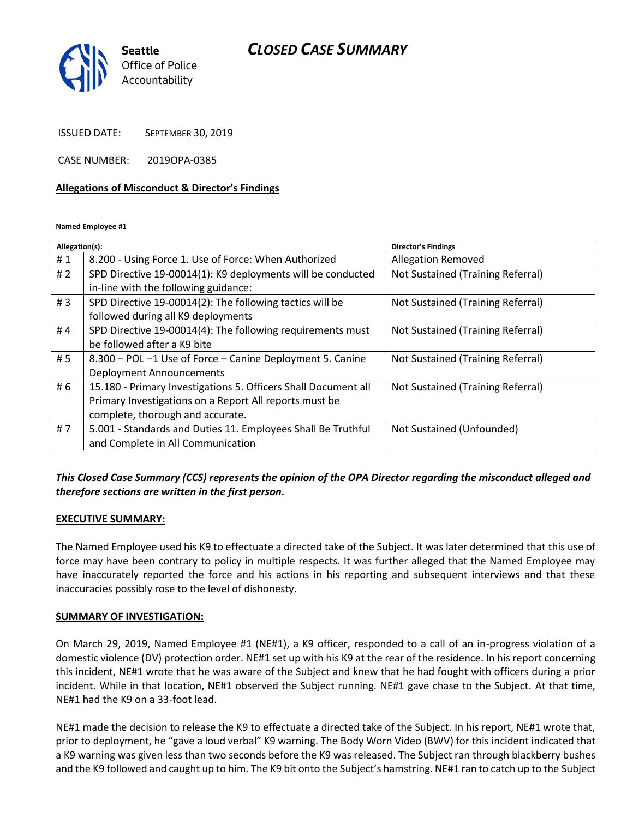# *CLOSED CASE SUMMARY*



ISSUED DATE: SEPTEMBER 30, 2019

CASE NUMBER: 2019OPA-0385

#### **Allegations of Misconduct & Director's Findings**

**Named Employee #1**

| Allegation(s): |                                                                | <b>Director's Findings</b>        |
|----------------|----------------------------------------------------------------|-----------------------------------|
| #1             | 8.200 - Using Force 1. Use of Force: When Authorized           | <b>Allegation Removed</b>         |
| #2             | SPD Directive 19-00014(1): K9 deployments will be conducted    | Not Sustained (Training Referral) |
|                | in-line with the following guidance:                           |                                   |
| #3             | SPD Directive 19-00014(2): The following tactics will be       | Not Sustained (Training Referral) |
|                | followed during all K9 deployments                             |                                   |
| #4             | SPD Directive 19-00014(4): The following requirements must     | Not Sustained (Training Referral) |
|                | be followed after a K9 bite                                    |                                   |
| # 5            | 8.300 - POL -1 Use of Force - Canine Deployment 5. Canine      | Not Sustained (Training Referral) |
|                | <b>Deployment Announcements</b>                                |                                   |
| # 6            | 15.180 - Primary Investigations 5. Officers Shall Document all | Not Sustained (Training Referral) |
|                | Primary Investigations on a Report All reports must be         |                                   |
|                | complete, thorough and accurate.                               |                                   |
| #7             | 5.001 - Standards and Duties 11. Employees Shall Be Truthful   | Not Sustained (Unfounded)         |
|                | and Complete in All Communication                              |                                   |
|                |                                                                |                                   |

# *This Closed Case Summary (CCS) represents the opinion of the OPA Director regarding the misconduct alleged and therefore sections are written in the first person.*

## **EXECUTIVE SUMMARY:**

The Named Employee used his K9 to effectuate a directed take of the Subject. It was later determined that this use of force may have been contrary to policy in multiple respects. It was further alleged that the Named Employee may have inaccurately reported the force and his actions in his reporting and subsequent interviews and that these inaccuracies possibly rose to the level of dishonesty.

## **SUMMARY OF INVESTIGATION:**

On March 29, 2019, Named Employee #1 (NE#1), a K9 officer, responded to a call of an in-progress violation of a domestic violence (DV) protection order. NE#1 set up with his K9 at the rear of the residence. In his report concerning this incident, NE#1 wrote that he was aware of the Subject and knew that he had fought with officers during a prior incident. While in that location, NE#1 observed the Subject running. NE#1 gave chase to the Subject. At that time, NE#1 had the K9 on a 33-foot lead.

NE#1 made the decision to release the K9 to effectuate a directed take of the Subject. In his report, NE#1 wrote that, prior to deployment, he "gave a loud verbal" K9 warning. The Body Worn Video (BWV) for this incident indicated that a K9 warning was given less than two seconds before the K9 was released. The Subject ran through blackberry bushes and the K9 followed and caught up to him. The K9 bit onto the Subject's hamstring. NE#1 ran to catch up to the Subject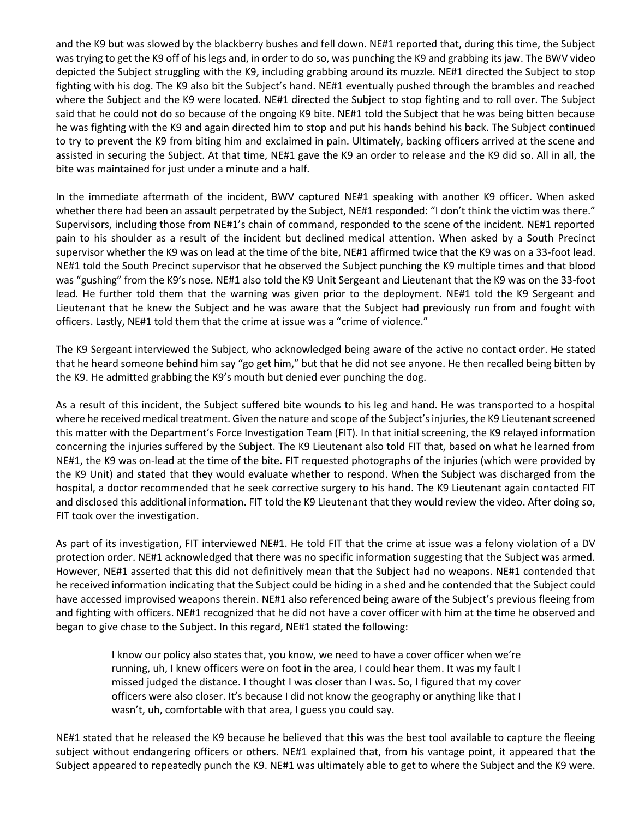and the K9 but was slowed by the blackberry bushes and fell down. NE#1 reported that, during this time, the Subject was trying to get the K9 off of his legs and, in order to do so, was punching the K9 and grabbing its jaw. The BWV video depicted the Subject struggling with the K9, including grabbing around its muzzle. NE#1 directed the Subject to stop fighting with his dog. The K9 also bit the Subject's hand. NE#1 eventually pushed through the brambles and reached where the Subject and the K9 were located. NE#1 directed the Subject to stop fighting and to roll over. The Subject said that he could not do so because of the ongoing K9 bite. NE#1 told the Subject that he was being bitten because he was fighting with the K9 and again directed him to stop and put his hands behind his back. The Subject continued to try to prevent the K9 from biting him and exclaimed in pain. Ultimately, backing officers arrived at the scene and assisted in securing the Subject. At that time, NE#1 gave the K9 an order to release and the K9 did so. All in all, the bite was maintained for just under a minute and a half.

In the immediate aftermath of the incident, BWV captured NE#1 speaking with another K9 officer. When asked whether there had been an assault perpetrated by the Subject, NE#1 responded: "I don't think the victim was there." Supervisors, including those from NE#1's chain of command, responded to the scene of the incident. NE#1 reported pain to his shoulder as a result of the incident but declined medical attention. When asked by a South Precinct supervisor whether the K9 was on lead at the time of the bite, NE#1 affirmed twice that the K9 was on a 33-foot lead. NE#1 told the South Precinct supervisor that he observed the Subject punching the K9 multiple times and that blood was "gushing" from the K9's nose. NE#1 also told the K9 Unit Sergeant and Lieutenant that the K9 was on the 33-foot lead. He further told them that the warning was given prior to the deployment. NE#1 told the K9 Sergeant and Lieutenant that he knew the Subject and he was aware that the Subject had previously run from and fought with officers. Lastly, NE#1 told them that the crime at issue was a "crime of violence."

The K9 Sergeant interviewed the Subject, who acknowledged being aware of the active no contact order. He stated that he heard someone behind him say "go get him," but that he did not see anyone. He then recalled being bitten by the K9. He admitted grabbing the K9's mouth but denied ever punching the dog.

As a result of this incident, the Subject suffered bite wounds to his leg and hand. He was transported to a hospital where he received medical treatment. Given the nature and scope of the Subject's injuries, the K9 Lieutenant screened this matter with the Department's Force Investigation Team (FIT). In that initial screening, the K9 relayed information concerning the injuries suffered by the Subject. The K9 Lieutenant also told FIT that, based on what he learned from NE#1, the K9 was on-lead at the time of the bite. FIT requested photographs of the injuries (which were provided by the K9 Unit) and stated that they would evaluate whether to respond. When the Subject was discharged from the hospital, a doctor recommended that he seek corrective surgery to his hand. The K9 Lieutenant again contacted FIT and disclosed this additional information. FIT told the K9 Lieutenant that they would review the video. After doing so, FIT took over the investigation.

As part of its investigation, FIT interviewed NE#1. He told FIT that the crime at issue was a felony violation of a DV protection order. NE#1 acknowledged that there was no specific information suggesting that the Subject was armed. However, NE#1 asserted that this did not definitively mean that the Subject had no weapons. NE#1 contended that he received information indicating that the Subject could be hiding in a shed and he contended that the Subject could have accessed improvised weapons therein. NE#1 also referenced being aware of the Subject's previous fleeing from and fighting with officers. NE#1 recognized that he did not have a cover officer with him at the time he observed and began to give chase to the Subject. In this regard, NE#1 stated the following:

> I know our policy also states that, you know, we need to have a cover officer when we're running, uh, I knew officers were on foot in the area, I could hear them. It was my fault I missed judged the distance. I thought I was closer than I was. So, I figured that my cover officers were also closer. It's because I did not know the geography or anything like that I wasn't, uh, comfortable with that area, I guess you could say.

NE#1 stated that he released the K9 because he believed that this was the best tool available to capture the fleeing subject without endangering officers or others. NE#1 explained that, from his vantage point, it appeared that the Subject appeared to repeatedly punch the K9. NE#1 was ultimately able to get to where the Subject and the K9 were.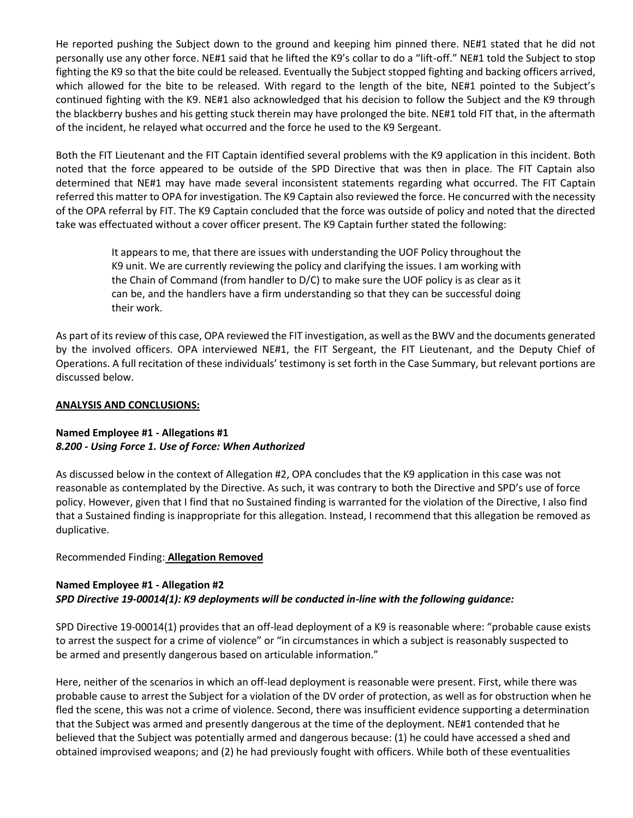He reported pushing the Subject down to the ground and keeping him pinned there. NE#1 stated that he did not personally use any other force. NE#1 said that he lifted the K9's collar to do a "lift-off." NE#1 told the Subject to stop fighting the K9 so that the bite could be released. Eventually the Subject stopped fighting and backing officers arrived, which allowed for the bite to be released. With regard to the length of the bite, NE#1 pointed to the Subject's continued fighting with the K9. NE#1 also acknowledged that his decision to follow the Subject and the K9 through the blackberry bushes and his getting stuck therein may have prolonged the bite. NE#1 told FIT that, in the aftermath of the incident, he relayed what occurred and the force he used to the K9 Sergeant.

Both the FIT Lieutenant and the FIT Captain identified several problems with the K9 application in this incident. Both noted that the force appeared to be outside of the SPD Directive that was then in place. The FIT Captain also determined that NE#1 may have made several inconsistent statements regarding what occurred. The FIT Captain referred this matter to OPA for investigation. The K9 Captain also reviewed the force. He concurred with the necessity of the OPA referral by FIT. The K9 Captain concluded that the force was outside of policy and noted that the directed take was effectuated without a cover officer present. The K9 Captain further stated the following:

> It appears to me, that there are issues with understanding the UOF Policy throughout the K9 unit. We are currently reviewing the policy and clarifying the issues. I am working with the Chain of Command (from handler to D/C) to make sure the UOF policy is as clear as it can be, and the handlers have a firm understanding so that they can be successful doing their work.

As part of its review of this case, OPA reviewed the FIT investigation, as well as the BWV and the documents generated by the involved officers. OPA interviewed NE#1, the FIT Sergeant, the FIT Lieutenant, and the Deputy Chief of Operations. A full recitation of these individuals' testimony is set forth in the Case Summary, but relevant portions are discussed below.

#### **ANALYSIS AND CONCLUSIONS:**

## **Named Employee #1 - Allegations #1** *8.200 - Using Force 1. Use of Force: When Authorized*

As discussed below in the context of Allegation #2, OPA concludes that the K9 application in this case was not reasonable as contemplated by the Directive. As such, it was contrary to both the Directive and SPD's use of force policy. However, given that I find that no Sustained finding is warranted for the violation of the Directive, I also find that a Sustained finding is inappropriate for this allegation. Instead, I recommend that this allegation be removed as duplicative.

## Recommended Finding: **Allegation Removed**

## **Named Employee #1 - Allegation #2** *SPD Directive 19-00014(1): K9 deployments will be conducted in-line with the following guidance:*

SPD Directive 19-00014(1) provides that an off-lead deployment of a K9 is reasonable where: "probable cause exists to arrest the suspect for a crime of violence" or "in circumstances in which a subject is reasonably suspected to be armed and presently dangerous based on articulable information."

Here, neither of the scenarios in which an off-lead deployment is reasonable were present. First, while there was probable cause to arrest the Subject for a violation of the DV order of protection, as well as for obstruction when he fled the scene, this was not a crime of violence. Second, there was insufficient evidence supporting a determination that the Subject was armed and presently dangerous at the time of the deployment. NE#1 contended that he believed that the Subject was potentially armed and dangerous because: (1) he could have accessed a shed and obtained improvised weapons; and (2) he had previously fought with officers. While both of these eventualities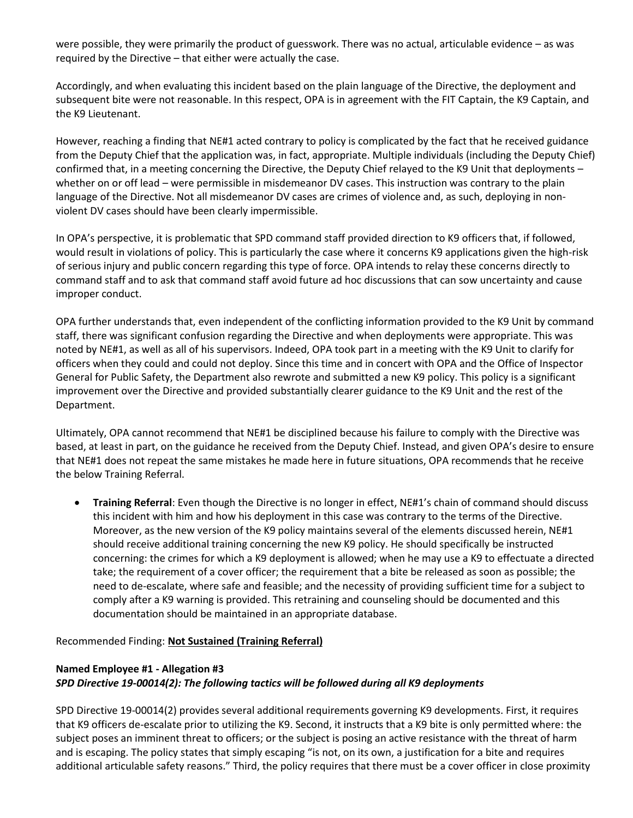were possible, they were primarily the product of guesswork. There was no actual, articulable evidence – as was required by the Directive – that either were actually the case.

Accordingly, and when evaluating this incident based on the plain language of the Directive, the deployment and subsequent bite were not reasonable. In this respect, OPA is in agreement with the FIT Captain, the K9 Captain, and the K9 Lieutenant.

However, reaching a finding that NE#1 acted contrary to policy is complicated by the fact that he received guidance from the Deputy Chief that the application was, in fact, appropriate. Multiple individuals (including the Deputy Chief) confirmed that, in a meeting concerning the Directive, the Deputy Chief relayed to the K9 Unit that deployments – whether on or off lead – were permissible in misdemeanor DV cases. This instruction was contrary to the plain language of the Directive. Not all misdemeanor DV cases are crimes of violence and, as such, deploying in nonviolent DV cases should have been clearly impermissible.

In OPA's perspective, it is problematic that SPD command staff provided direction to K9 officers that, if followed, would result in violations of policy. This is particularly the case where it concerns K9 applications given the high-risk of serious injury and public concern regarding this type of force. OPA intends to relay these concerns directly to command staff and to ask that command staff avoid future ad hoc discussions that can sow uncertainty and cause improper conduct.

OPA further understands that, even independent of the conflicting information provided to the K9 Unit by command staff, there was significant confusion regarding the Directive and when deployments were appropriate. This was noted by NE#1, as well as all of his supervisors. Indeed, OPA took part in a meeting with the K9 Unit to clarify for officers when they could and could not deploy. Since this time and in concert with OPA and the Office of Inspector General for Public Safety, the Department also rewrote and submitted a new K9 policy. This policy is a significant improvement over the Directive and provided substantially clearer guidance to the K9 Unit and the rest of the Department.

Ultimately, OPA cannot recommend that NE#1 be disciplined because his failure to comply with the Directive was based, at least in part, on the guidance he received from the Deputy Chief. Instead, and given OPA's desire to ensure that NE#1 does not repeat the same mistakes he made here in future situations, OPA recommends that he receive the below Training Referral.

• **Training Referral**: Even though the Directive is no longer in effect, NE#1's chain of command should discuss this incident with him and how his deployment in this case was contrary to the terms of the Directive. Moreover, as the new version of the K9 policy maintains several of the elements discussed herein, NE#1 should receive additional training concerning the new K9 policy. He should specifically be instructed concerning: the crimes for which a K9 deployment is allowed; when he may use a K9 to effectuate a directed take; the requirement of a cover officer; the requirement that a bite be released as soon as possible; the need to de-escalate, where safe and feasible; and the necessity of providing sufficient time for a subject to comply after a K9 warning is provided. This retraining and counseling should be documented and this documentation should be maintained in an appropriate database.

Recommended Finding: **Not Sustained (Training Referral)**

# **Named Employee #1 - Allegation #3** *SPD Directive 19-00014(2): The following tactics will be followed during all K9 deployments*

SPD Directive 19-00014(2) provides several additional requirements governing K9 developments. First, it requires that K9 officers de-escalate prior to utilizing the K9. Second, it instructs that a K9 bite is only permitted where: the subject poses an imminent threat to officers; or the subject is posing an active resistance with the threat of harm and is escaping. The policy states that simply escaping "is not, on its own, a justification for a bite and requires additional articulable safety reasons." Third, the policy requires that there must be a cover officer in close proximity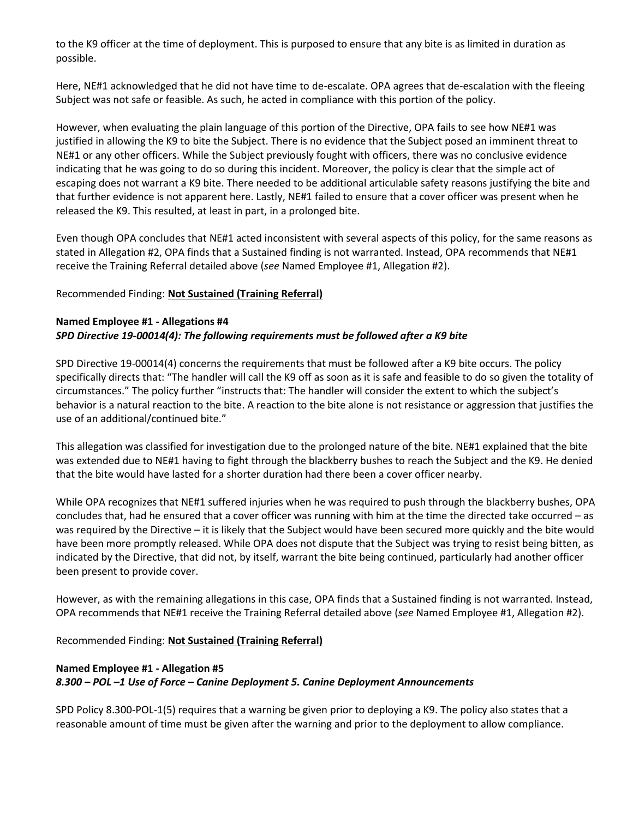to the K9 officer at the time of deployment. This is purposed to ensure that any bite is as limited in duration as possible.

Here, NE#1 acknowledged that he did not have time to de-escalate. OPA agrees that de-escalation with the fleeing Subject was not safe or feasible. As such, he acted in compliance with this portion of the policy.

However, when evaluating the plain language of this portion of the Directive, OPA fails to see how NE#1 was justified in allowing the K9 to bite the Subject. There is no evidence that the Subject posed an imminent threat to NE#1 or any other officers. While the Subject previously fought with officers, there was no conclusive evidence indicating that he was going to do so during this incident. Moreover, the policy is clear that the simple act of escaping does not warrant a K9 bite. There needed to be additional articulable safety reasons justifying the bite and that further evidence is not apparent here. Lastly, NE#1 failed to ensure that a cover officer was present when he released the K9. This resulted, at least in part, in a prolonged bite.

Even though OPA concludes that NE#1 acted inconsistent with several aspects of this policy, for the same reasons as stated in Allegation #2, OPA finds that a Sustained finding is not warranted. Instead, OPA recommends that NE#1 receive the Training Referral detailed above (*see* Named Employee #1, Allegation #2).

## Recommended Finding: **Not Sustained (Training Referral)**

## **Named Employee #1 - Allegations #4** *SPD Directive 19-00014(4): The following requirements must be followed after a K9 bite*

SPD Directive 19-00014(4) concerns the requirements that must be followed after a K9 bite occurs. The policy specifically directs that: "The handler will call the K9 off as soon as it is safe and feasible to do so given the totality of circumstances." The policy further "instructs that: The handler will consider the extent to which the subject's behavior is a natural reaction to the bite. A reaction to the bite alone is not resistance or aggression that justifies the use of an additional/continued bite."

This allegation was classified for investigation due to the prolonged nature of the bite. NE#1 explained that the bite was extended due to NE#1 having to fight through the blackberry bushes to reach the Subject and the K9. He denied that the bite would have lasted for a shorter duration had there been a cover officer nearby.

While OPA recognizes that NE#1 suffered injuries when he was required to push through the blackberry bushes, OPA concludes that, had he ensured that a cover officer was running with him at the time the directed take occurred – as was required by the Directive – it is likely that the Subject would have been secured more quickly and the bite would have been more promptly released. While OPA does not dispute that the Subject was trying to resist being bitten, as indicated by the Directive, that did not, by itself, warrant the bite being continued, particularly had another officer been present to provide cover.

However, as with the remaining allegations in this case, OPA finds that a Sustained finding is not warranted. Instead, OPA recommends that NE#1 receive the Training Referral detailed above (*see* Named Employee #1, Allegation #2).

Recommended Finding: **Not Sustained (Training Referral)**

# **Named Employee #1 - Allegation #5** *8.300 – POL –1 Use of Force – Canine Deployment 5. Canine Deployment Announcements*

SPD Policy 8.300-POL-1(5) requires that a warning be given prior to deploying a K9. The policy also states that a reasonable amount of time must be given after the warning and prior to the deployment to allow compliance.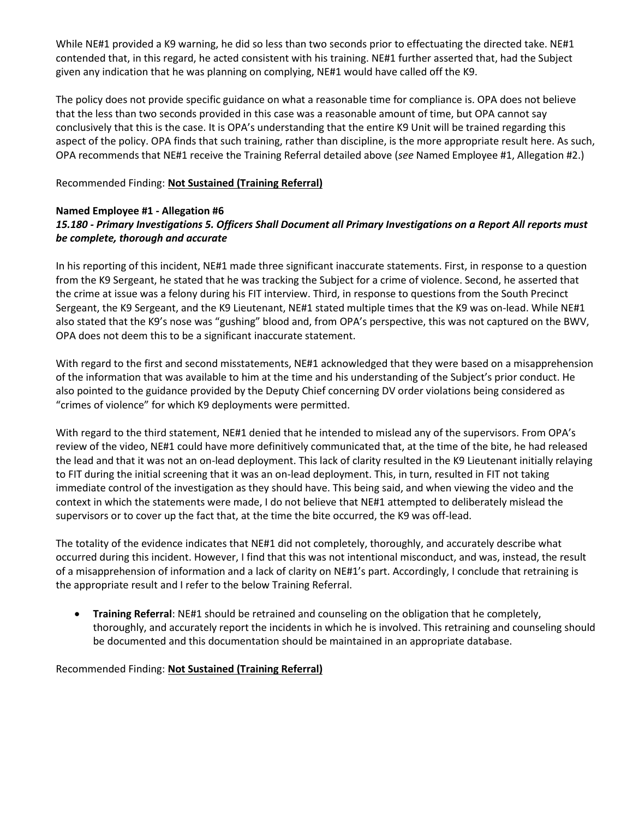While NE#1 provided a K9 warning, he did so less than two seconds prior to effectuating the directed take. NE#1 contended that, in this regard, he acted consistent with his training. NE#1 further asserted that, had the Subject given any indication that he was planning on complying, NE#1 would have called off the K9.

The policy does not provide specific guidance on what a reasonable time for compliance is. OPA does not believe that the less than two seconds provided in this case was a reasonable amount of time, but OPA cannot say conclusively that this is the case. It is OPA's understanding that the entire K9 Unit will be trained regarding this aspect of the policy. OPA finds that such training, rather than discipline, is the more appropriate result here. As such, OPA recommends that NE#1 receive the Training Referral detailed above (*see* Named Employee #1, Allegation #2.)

## Recommended Finding: **Not Sustained (Training Referral)**

## **Named Employee #1 - Allegation #6** *15.180 - Primary Investigations 5. Officers Shall Document all Primary Investigations on a Report All reports must be complete, thorough and accurate*

In his reporting of this incident, NE#1 made three significant inaccurate statements. First, in response to a question from the K9 Sergeant, he stated that he was tracking the Subject for a crime of violence. Second, he asserted that the crime at issue was a felony during his FIT interview. Third, in response to questions from the South Precinct Sergeant, the K9 Sergeant, and the K9 Lieutenant, NE#1 stated multiple times that the K9 was on-lead. While NE#1 also stated that the K9's nose was "gushing" blood and, from OPA's perspective, this was not captured on the BWV, OPA does not deem this to be a significant inaccurate statement.

With regard to the first and second misstatements, NE#1 acknowledged that they were based on a misapprehension of the information that was available to him at the time and his understanding of the Subject's prior conduct. He also pointed to the guidance provided by the Deputy Chief concerning DV order violations being considered as "crimes of violence" for which K9 deployments were permitted.

With regard to the third statement, NE#1 denied that he intended to mislead any of the supervisors. From OPA's review of the video, NE#1 could have more definitively communicated that, at the time of the bite, he had released the lead and that it was not an on-lead deployment. This lack of clarity resulted in the K9 Lieutenant initially relaying to FIT during the initial screening that it was an on-lead deployment. This, in turn, resulted in FIT not taking immediate control of the investigation as they should have. This being said, and when viewing the video and the context in which the statements were made, I do not believe that NE#1 attempted to deliberately mislead the supervisors or to cover up the fact that, at the time the bite occurred, the K9 was off-lead.

The totality of the evidence indicates that NE#1 did not completely, thoroughly, and accurately describe what occurred during this incident. However, I find that this was not intentional misconduct, and was, instead, the result of a misapprehension of information and a lack of clarity on NE#1's part. Accordingly, I conclude that retraining is the appropriate result and I refer to the below Training Referral.

• **Training Referral**: NE#1 should be retrained and counseling on the obligation that he completely, thoroughly, and accurately report the incidents in which he is involved. This retraining and counseling should be documented and this documentation should be maintained in an appropriate database.

Recommended Finding: **Not Sustained (Training Referral)**